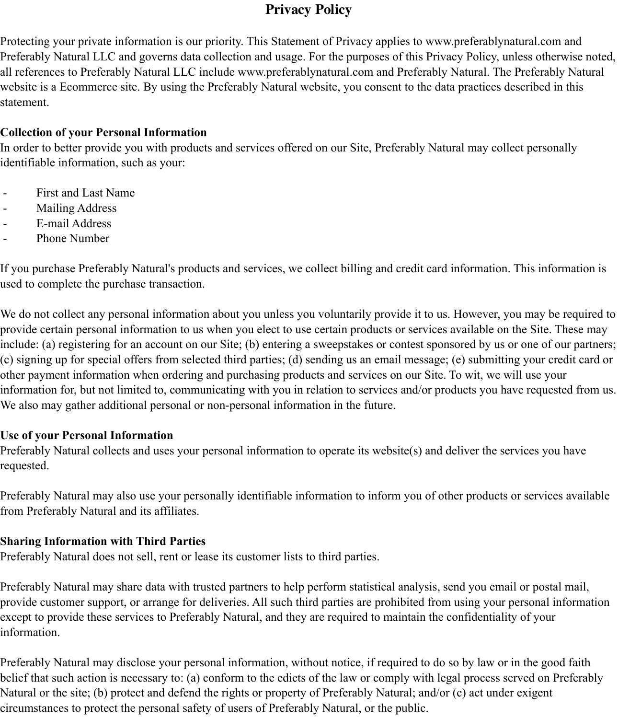# **Privacy Policy**

Protecting your private information is our priority. This Statement of Privacy applies to www.preferablynatural.com and Preferably Natural LLC and governs data collection and usage. For the purposes of this Privacy Policy, unless otherwise noted, all references to Preferably Natural LLC include www.preferablynatural.com and Preferably Natural. The Preferably Natural website is a Ecommerce site. By using the Preferably Natural website, you consent to the data practices described in this statement.

### **Collection of your Personal Information**

In order to better provide you with products and services offered on our Site, Preferably Natural may collect personally identifiable information, such as your:

- First and Last Name
- Mailing Address
- E-mail Address
- Phone Number

If you purchase Preferably Natural's products and services, we collect billing and credit card information. This information is used to complete the purchase transaction.

We do not collect any personal information about you unless you voluntarily provide it to us. However, you may be required to provide certain personal information to us when you elect to use certain products or services available on the Site. These may include: (a) registering for an account on our Site; (b) entering a sweepstakes or contest sponsored by us or one of our partners; (c) signing up for special offers from selected third parties; (d) sending us an email message; (e) submitting your credit card or other payment information when ordering and purchasing products and services on our Site. To wit, we will use your information for, but not limited to, communicating with you in relation to services and/or products you have requested from us. We also may gather additional personal or non-personal information in the future.

#### **Use of your Personal Information**

Preferably Natural collects and uses your personal information to operate its website(s) and deliver the services you have requested.

Preferably Natural may also use your personally identifiable information to inform you of other products or services available from Preferably Natural and its affiliates.

### **Sharing Information with Third Parties**

Preferably Natural does not sell, rent or lease its customer lists to third parties.

Preferably Natural may share data with trusted partners to help perform statistical analysis, send you email or postal mail, provide customer support, or arrange for deliveries. All such third parties are prohibited from using your personal information except to provide these services to Preferably Natural, and they are required to maintain the confidentiality of your information.

Preferably Natural may disclose your personal information, without notice, if required to do so by law or in the good faith belief that such action is necessary to: (a) conform to the edicts of the law or comply with legal process served on Preferably Natural or the site; (b) protect and defend the rights or property of Preferably Natural; and/or (c) act under exigent circumstances to protect the personal safety of users of Preferably Natural, or the public.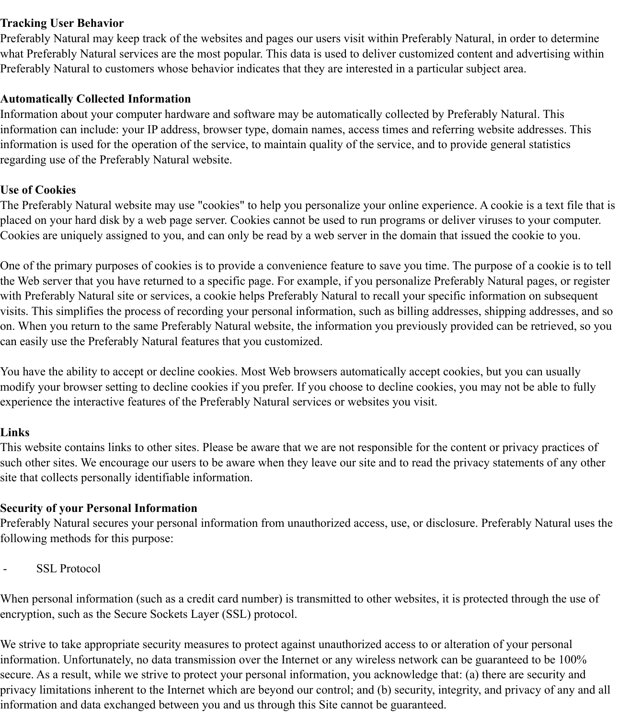#### **Tracking User Behavior**

Preferably Natural may keep track of the websites and pages our users visit within Preferably Natural, in order to determine what Preferably Natural services are the most popular. This data is used to deliver customized content and advertising within Preferably Natural to customers whose behavior indicates that they are interested in a particular subject area.

#### **Automatically Collected Information**

Information about your computer hardware and software may be automatically collected by Preferably Natural. This information can include: your IP address, browser type, domain names, access times and referring website addresses. This information is used for the operation of the service, to maintain quality of the service, and to provide general statistics regarding use of the Preferably Natural website.

### **Use of Cookies**

The Preferably Natural website may use "cookies" to help you personalize your online experience. A cookie is a text file that is placed on your hard disk by a web page server. Cookies cannot be used to run programs or deliver viruses to your computer. Cookies are uniquely assigned to you, and can only be read by a web server in the domain that issued the cookie to you.

One of the primary purposes of cookies is to provide a convenience feature to save you time. The purpose of a cookie is to tell the Web server that you have returned to a specific page. For example, if you personalize Preferably Natural pages, or register with Preferably Natural site or services, a cookie helps Preferably Natural to recall your specific information on subsequent visits. This simplifies the process of recording your personal information, such as billing addresses, shipping addresses, and so on. When you return to the same Preferably Natural website, the information you previously provided can be retrieved, so you can easily use the Preferably Natural features that you customized.

You have the ability to accept or decline cookies. Most Web browsers automatically accept cookies, but you can usually modify your browser setting to decline cookies if you prefer. If you choose to decline cookies, you may not be able to fully experience the interactive features of the Preferably Natural services or websites you visit.

#### **Links**

This website contains links to other sites. Please be aware that we are not responsible for the content or privacy practices of such other sites. We encourage our users to be aware when they leave our site and to read the privacy statements of any other site that collects personally identifiable information.

#### **Security of your Personal Information**

Preferably Natural secures your personal information from unauthorized access, use, or disclosure. Preferably Natural uses the following methods for this purpose:

- SSL Protocol

When personal information (such as a credit card number) is transmitted to other websites, it is protected through the use of encryption, such as the Secure Sockets Layer (SSL) protocol.

We strive to take appropriate security measures to protect against unauthorized access to or alteration of your personal information. Unfortunately, no data transmission over the Internet or any wireless network can be guaranteed to be 100% secure. As a result, while we strive to protect your personal information, you acknowledge that: (a) there are security and privacy limitations inherent to the Internet which are beyond our control; and (b) security, integrity, and privacy of any and all information and data exchanged between you and us through this Site cannot be guaranteed.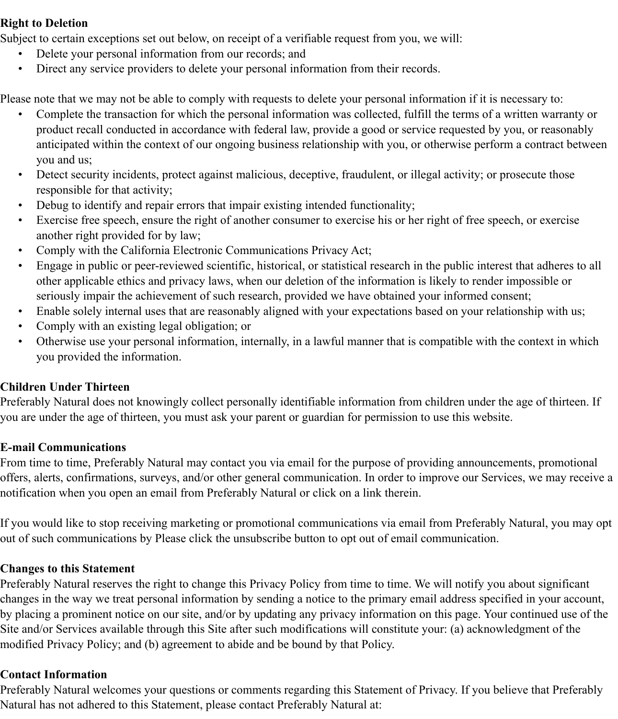#### **Right to Deletion**

Subject to certain exceptions set out below, on receipt of a verifiable request from you, we will:

- Delete your personal information from our records; and
- Direct any service providers to delete your personal information from their records.

Please note that we may not be able to comply with requests to delete your personal information if it is necessary to:

- Complete the transaction for which the personal information was collected, fulfill the terms of a written warranty or product recall conducted in accordance with federal law, provide a good or service requested by you, or reasonably anticipated within the context of our ongoing business relationship with you, or otherwise perform a contract between you and us;
- Detect security incidents, protect against malicious, deceptive, fraudulent, or illegal activity; or prosecute those responsible for that activity;
- Debug to identify and repair errors that impair existing intended functionality;
- Exercise free speech, ensure the right of another consumer to exercise his or her right of free speech, or exercise another right provided for by law;
- Comply with the California Electronic Communications Privacy Act;
- Engage in public or peer-reviewed scientific, historical, or statistical research in the public interest that adheres to all other applicable ethics and privacy laws, when our deletion of the information is likely to render impossible or seriously impair the achievement of such research, provided we have obtained your informed consent;
- Enable solely internal uses that are reasonably aligned with your expectations based on your relationship with us;
- Comply with an existing legal obligation; or
- Otherwise use your personal information, internally, in a lawful manner that is compatible with the context in which you provided the information.

## **Children Under Thirteen**

Preferably Natural does not knowingly collect personally identifiable information from children under the age of thirteen. If you are under the age of thirteen, you must ask your parent or guardian for permission to use this website.

### **E-mail Communications**

From time to time, Preferably Natural may contact you via email for the purpose of providing announcements, promotional offers, alerts, confirmations, surveys, and/or other general communication. In order to improve our Services, we may receive a notification when you open an email from Preferably Natural or click on a link therein.

If you would like to stop receiving marketing or promotional communications via email from Preferably Natural, you may opt out of such communications by Please click the unsubscribe button to opt out of email communication.

### **Changes to this Statement**

Preferably Natural reserves the right to change this Privacy Policy from time to time. We will notify you about significant changes in the way we treat personal information by sending a notice to the primary email address specified in your account, by placing a prominent notice on our site, and/or by updating any privacy information on this page. Your continued use of the Site and/or Services available through this Site after such modifications will constitute your: (a) acknowledgment of the modified Privacy Policy; and (b) agreement to abide and be bound by that Policy.

### **Contact Information**

Preferably Natural welcomes your questions or comments regarding this Statement of Privacy. If you believe that Preferably Natural has not adhered to this Statement, please contact Preferably Natural at: